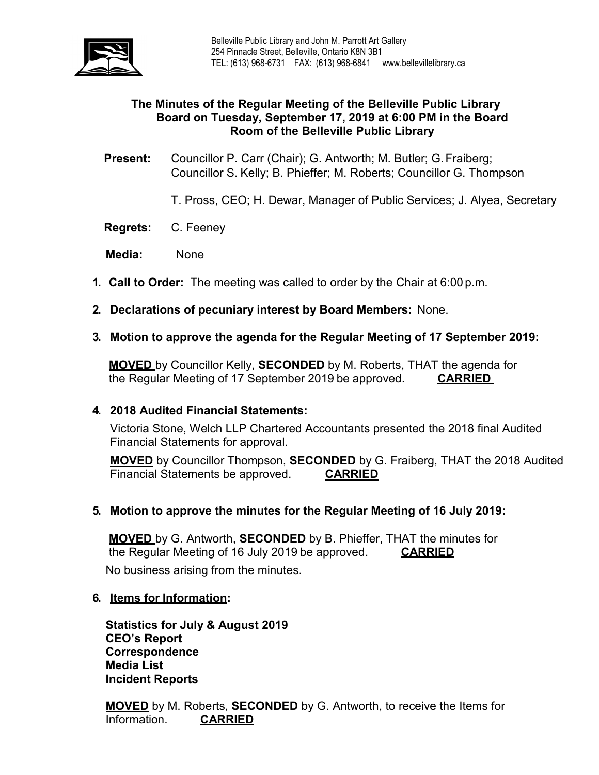

## **The Minutes of the Regular Meeting of the Belleville Public Library Board on Tuesday, September 17, 2019 at 6:00 PM in the Board Room of the Belleville Public Library**

**Present:** Councillor P. Carr (Chair); G. Antworth; M. Butler; G.Fraiberg; Councillor S. Kelly; B. Phieffer; M. Roberts; Councillor G. Thompson

T. Pross, CEO; H. Dewar, Manager of Public Services; J. Alyea, Secretary

**Regrets:** C. Feeney

**Media:** None

- **1. Call to Order:** The meeting was called to order by the Chair at 6:00 p.m.
- **2. Declarations of pecuniary interest by Board Members:** None.
- **3. Motion to approve the agenda for the Regular Meeting of 17 September 2019:**

**MOVED** by Councillor Kelly, **SECONDED** by M. Roberts, THAT the agenda for the Regular Meeting of 17 September 2019 be approved. **CARRIED**

### **4. 2018 Audited Financial Statements:**

Victoria Stone, Welch LLP Chartered Accountants presented the 2018 final Audited Financial Statements for approval.

**MOVED** by Councillor Thompson, **SECONDED** by G. Fraiberg, THAT the 2018 Audited Financial Statements be approved. **CARRIED**

### **5. Motion to approve the minutes for the Regular Meeting of 16 July 2019:**

**MOVED** by G. Antworth, **SECONDED** by B. Phieffer, THAT the minutes for the Regular Meeting of 16 July 2019 be approved. **CARRIED** No business arising from the minutes.

### **6. Items for Information:**

**Statistics for July & August 2019 CEO's Report Correspondence Media List Incident Reports**

**MOVED** by M. Roberts, **SECONDED** by G. Antworth, to receive the Items for Information. **CARRIED**